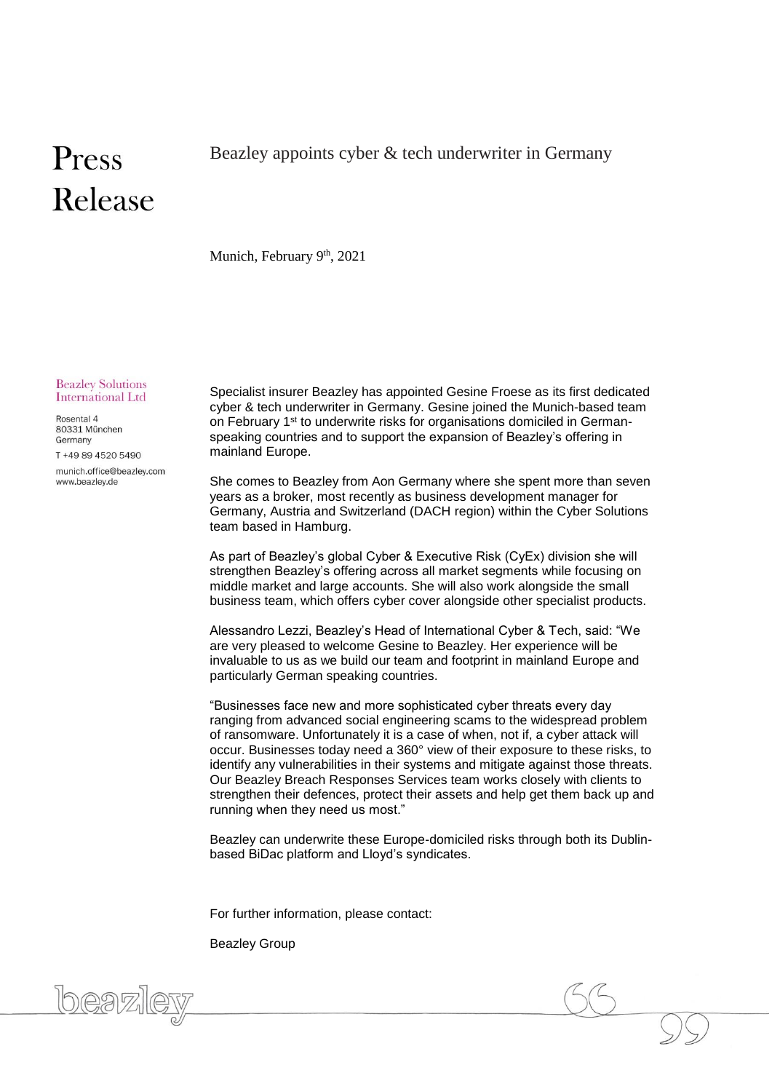## Press Release

Munich, February 9<sup>th</sup>, 2021

**Beazley Solutions** International Ltd

Rosental 4 80331 München Germany

T +49 89 4520 5490

munich.office@beazley.com www.beazley.de

Specialist insurer Beazley has appointed Gesine Froese as its first dedicated cyber & tech underwriter in Germany. Gesine joined the Munich-based team on February 1<sup>st</sup> to underwrite risks for organisations domiciled in Germanspeaking countries and to support the expansion of Beazley's offering in mainland Europe.

She comes to Beazley from Aon Germany where she spent more than seven years as a broker, most recently as business development manager for Germany, Austria and Switzerland (DACH region) within the Cyber Solutions team based in Hamburg.

As part of Beazley's global Cyber & Executive Risk (CyEx) division she will strengthen Beazley's offering across all market segments while focusing on middle market and large accounts. She will also work alongside the small business team, which offers cyber cover alongside other specialist products.

Alessandro Lezzi, Beazley's Head of International Cyber & Tech, said: "We are very pleased to welcome Gesine to Beazley. Her experience will be invaluable to us as we build our team and footprint in mainland Europe and particularly German speaking countries.

"Businesses face new and more sophisticated cyber threats every day ranging from advanced social engineering scams to the widespread problem of ransomware. Unfortunately it is a case of when, not if, a cyber attack will occur. Businesses today need a 360° view of their exposure to these risks, to identify any vulnerabilities in their systems and mitigate against those threats. Our Beazley Breach Responses Services team works closely with clients to strengthen their defences, protect their assets and help get them back up and running when they need us most."

Beazley can underwrite these Europe-domiciled risks through both its Dublinbased BiDac platform and Lloyd's syndicates.

For further information, please contact:

Beazley Group